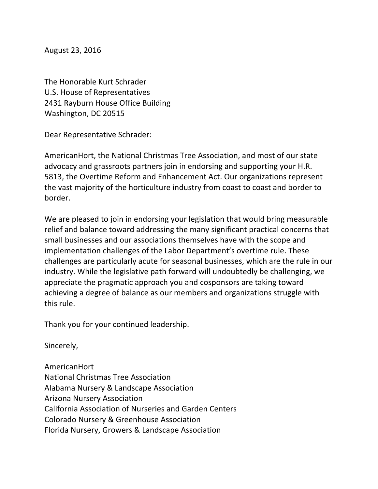August 23, 2016

The Honorable Kurt Schrader U.S. House of Representatives 2431 Rayburn House Office Building Washington, DC 20515

Dear Representative Schrader:

AmericanHort, the National Christmas Tree Association, and most of our state advocacy and grassroots partners join in endorsing and supporting your H.R. 5813, the Overtime Reform and Enhancement Act. Our organizations represent the vast majority of the horticulture industry from coast to coast and border to border. 

We are pleased to join in endorsing your legislation that would bring measurable relief and balance toward addressing the many significant practical concerns that small businesses and our associations themselves have with the scope and implementation challenges of the Labor Department's overtime rule. These challenges are particularly acute for seasonal businesses, which are the rule in our industry. While the legislative path forward will undoubtedly be challenging, we appreciate the pragmatic approach you and cosponsors are taking toward achieving a degree of balance as our members and organizations struggle with this rule.

Thank you for your continued leadership.

Sincerely,

AmericanHort National Christmas Tree Association Alabama Nursery & Landscape Association Arizona Nursery Association California Association of Nurseries and Garden Centers Colorado Nursery & Greenhouse Association Florida Nursery, Growers & Landscape Association